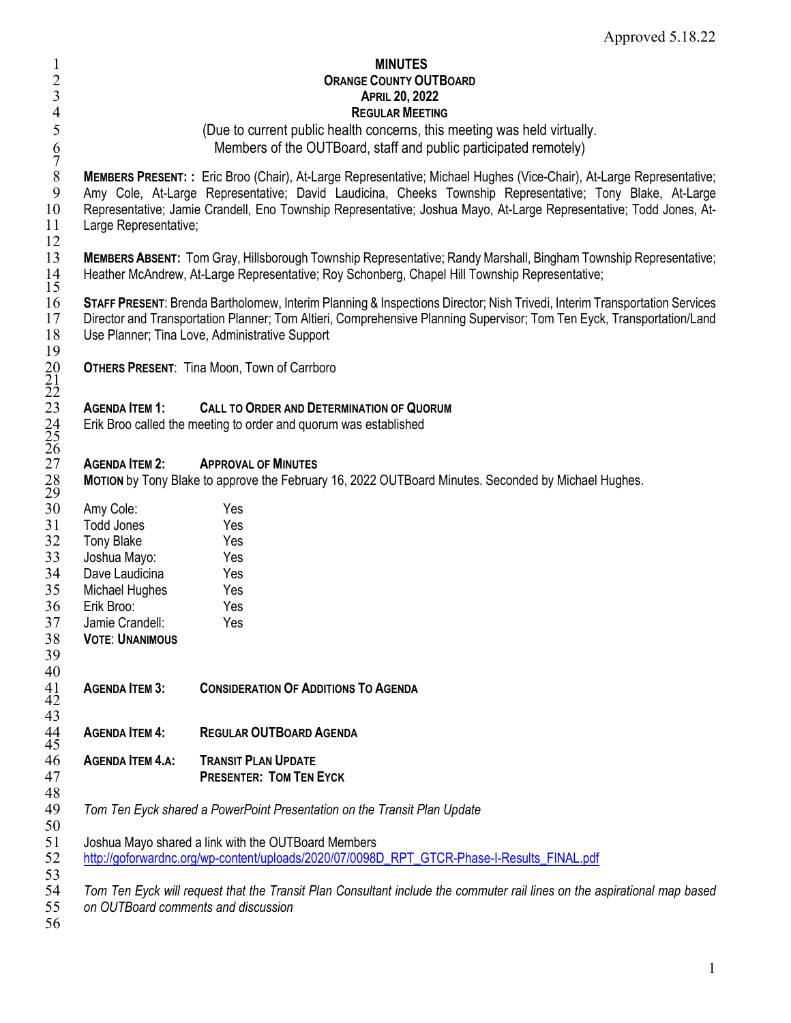|                         | <b>MINUTES</b><br><b>ORANGE COUNTY OUTBOARD</b><br><b>APRIL 20, 2022</b><br><b>REGULAR MEETING</b><br>(Due to current public health concerns, this meeting was held virtually.<br>Members of the OUTBoard, staff and public participated remotely)                                                                                                     |
|-------------------------|--------------------------------------------------------------------------------------------------------------------------------------------------------------------------------------------------------------------------------------------------------------------------------------------------------------------------------------------------------|
| Large Representative;   | MEMBERS PRESENT: : Eric Broo (Chair), At-Large Representative; Michael Hughes (Vice-Chair), At-Large Representative;<br>Amy Cole, At-Large Representative; David Laudicina, Cheeks Township Representative; Tony Blake, At-Large<br>Representative; Jamie Crandell, Eno Township Representative; Joshua Mayo, At-Large Representative; Todd Jones, At- |
|                         | MEMBERS ABSENT: Tom Gray, Hillsborough Township Representative; Randy Marshall, Bingham Township Representative;<br>Heather McAndrew, At-Large Representative; Roy Schonberg, Chapel Hill Township Representative;                                                                                                                                     |
|                         | STAFF PRESENT: Brenda Bartholomew, Interim Planning & Inspections Director; Nish Trivedi, Interim Transportation Services<br>Director and Transportation Planner; Tom Altieri, Comprehensive Planning Supervisor; Tom Ten Eyck, Transportation/Land<br>Use Planner; Tina Love, Administrative Support                                                  |
|                         | <b>OTHERS PRESENT: Tina Moon, Town of Carrboro</b>                                                                                                                                                                                                                                                                                                     |
| <b>AGENDA ITEM 1:</b>   | <b>CALL TO ORDER AND DETERMINATION OF QUORUM</b><br>Erik Broo called the meeting to order and quorum was established                                                                                                                                                                                                                                   |
| <b>AGENDA ITEM 2:</b>   | <b>APPROVAL OF MINUTES</b><br>MOTION by Tony Blake to approve the February 16, 2022 OUTBoard Minutes. Seconded by Michael Hughes.                                                                                                                                                                                                                      |
| Amy Cole:               | Yes                                                                                                                                                                                                                                                                                                                                                    |
| <b>Todd Jones</b>       | Yes                                                                                                                                                                                                                                                                                                                                                    |
| <b>Tony Blake</b>       | Yes                                                                                                                                                                                                                                                                                                                                                    |
| Joshua Mayo:            | Yes                                                                                                                                                                                                                                                                                                                                                    |
| Dave Laudicina          | Yes                                                                                                                                                                                                                                                                                                                                                    |
| Michael Hughes          | Yes                                                                                                                                                                                                                                                                                                                                                    |
| Erik Broo:              | Yes                                                                                                                                                                                                                                                                                                                                                    |
| Jamie Crandell:         | Yes                                                                                                                                                                                                                                                                                                                                                    |
| <b>VOTE: UNANIMOUS</b>  |                                                                                                                                                                                                                                                                                                                                                        |
|                         |                                                                                                                                                                                                                                                                                                                                                        |
| <b>AGENDA ITEM 3:</b>   | <b>CONSIDERATION OF ADDITIONS TO AGENDA</b>                                                                                                                                                                                                                                                                                                            |
| <b>AGENDA ITEM 4:</b>   | <b>REGULAR OUTBOARD AGENDA</b>                                                                                                                                                                                                                                                                                                                         |
| <b>AGENDA ITEM 4.A:</b> | <b>TRANSIT PLAN UPDATE</b><br><b>PRESENTER: TOM TEN EYCK</b>                                                                                                                                                                                                                                                                                           |
|                         | Tom Ten Eyck shared a PowerPoint Presentation on the Transit Plan Update                                                                                                                                                                                                                                                                               |
|                         | Joshua Mayo shared a link with the OUTBoard Members<br>http://goforwardnc.org/wp-content/uploads/2020/07/0098D_RPT_GTCR-Phase-I-Results_FINAL.pdf                                                                                                                                                                                                      |
|                         | Tom Ten Eyck will request that the Transit Plan Consultant include the commuter rail lines on the aspirational map based<br>on OUTBoard comments and discussion                                                                                                                                                                                        |

Approved 5.18.22